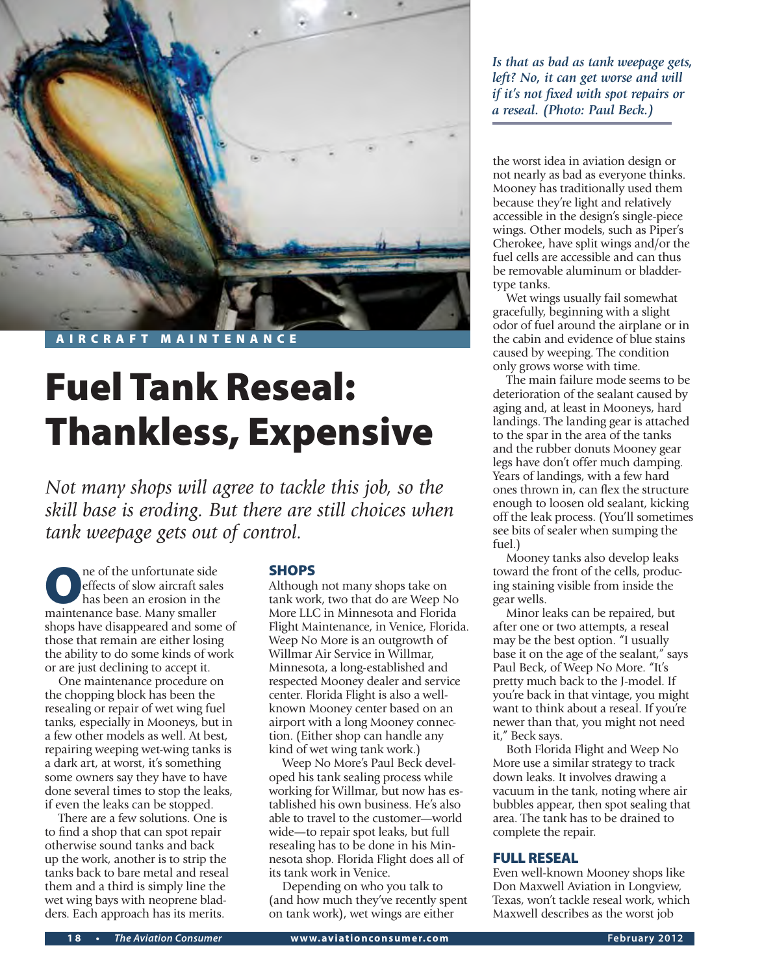

# Fuel Tank Reseal: Thankless, Expensive

*Not many shops will agree to tackle this job, so the skill base is eroding. But there are still choices when tank weepage gets out of control.* 

One of the unfortunate side<br>
has been an erosion in the<br>
maintenance base Many smaller effects of slow aircraft sales maintenance base. Many smaller shops have disappeared and some of those that remain are either losing the ability to do some kinds of work or are just declining to accept it.

One maintenance procedure on the chopping block has been the resealing or repair of wet wing fuel tanks, especially in Mooneys, but in a few other models as well. At best, repairing weeping wet-wing tanks is a dark art, at worst, it's something some owners say they have to have done several times to stop the leaks, if even the leaks can be stopped.

There are a few solutions. One is to find a shop that can spot repair otherwise sound tanks and back up the work, another is to strip the tanks back to bare metal and reseal them and a third is simply line the wet wing bays with neoprene bladders. Each approach has its merits.

## **SHOPS**

Although not many shops take on tank work, two that do are Weep No More LLC in Minnesota and Florida Flight Maintenance, in Venice, Florida. Weep No More is an outgrowth of Willmar Air Service in Willmar, Minnesota, a long-established and respected Mooney dealer and service center. Florida Flight is also a wellknown Mooney center based on an airport with a long Mooney connection. (Either shop can handle any kind of wet wing tank work.)

Weep No More's Paul Beck developed his tank sealing process while working for Willmar, but now has established his own business. He's also able to travel to the customer—world wide—to repair spot leaks, but full resealing has to be done in his Minnesota shop. Florida Flight does all of its tank work in Venice.

Depending on who you talk to (and how much they've recently spent on tank work), wet wings are either

*Is that as bad as tank weepage gets, left? No, it can get worse and will if it's not fixed with spot repairs or a reseal. (Photo: Paul Beck.)*

the worst idea in aviation design or not nearly as bad as everyone thinks. Mooney has traditionally used them because they're light and relatively accessible in the design's single-piece wings. Other models, such as Piper's Cherokee, have split wings and/or the fuel cells are accessible and can thus be removable aluminum or bladdertype tanks.

Wet wings usually fail somewhat gracefully, beginning with a slight odor of fuel around the airplane or in the cabin and evidence of blue stains caused by weeping. The condition only grows worse with time.

The main failure mode seems to be deterioration of the sealant caused by aging and, at least in Mooneys, hard landings. The landing gear is attached to the spar in the area of the tanks and the rubber donuts Mooney gear legs have don't offer much damping. Years of landings, with a few hard ones thrown in, can flex the structure enough to loosen old sealant, kicking off the leak process. (You'll sometimes see bits of sealer when sumping the fuel.)

Mooney tanks also develop leaks toward the front of the cells, producing staining visible from inside the gear wells.

Minor leaks can be repaired, but after one or two attempts, a reseal may be the best option. "I usually base it on the age of the sealant," says Paul Beck, of Weep No More. "It's pretty much back to the J-model. If you're back in that vintage, you might want to think about a reseal. If you're newer than that, you might not need it," Beck says.

Both Florida Flight and Weep No More use a similar strategy to track down leaks. It involves drawing a vacuum in the tank, noting where air bubbles appear, then spot sealing that area. The tank has to be drained to complete the repair.

#### Full Reseal

Even well-known Mooney shops like Don Maxwell Aviation in Longview, Texas, won't tackle reseal work, which Maxwell describes as the worst job